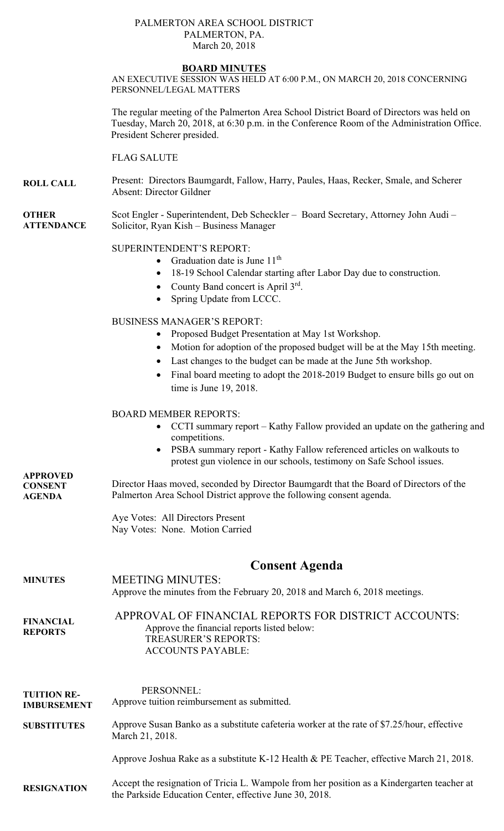## PALMERTON AREA SCHOOL DISTRICT PALMERTON, PA. March 20, 2018

## **BOARD MINUTES**

AN EXECUTIVE SESSION WAS HELD AT 6:00 P.M., ON MARCH 20, 2018 CONCERNING PERSONNEL/LEGAL MATTERS

The regular meeting of the Palmerton Area School District Board of Directors was held on Tuesday, March 20, 2018, at 6:30 p.m. in the Conference Room of the Administration Office. President Scherer presided.

## FLAG SALUTE

**ROLL CALL**  Present: Directors Baumgardt, Fallow, Harry, Paules, Haas, Recker, Smale, and Scherer Absent: Director Gildner

**OTHER ATTENDANCE**  Scot Engler - Superintendent, Deb Scheckler – Board Secretary, Attorney John Audi – Solicitor, Ryan Kish – Business Manager

### SUPERINTENDENT'S REPORT:

- Graduation date is June  $11<sup>th</sup>$
- 18-19 School Calendar starting after Labor Day due to construction.
- County Band concert is April  $3^{rd}$ .
- Spring Update from LCCC.

## BUSINESS MANAGER'S REPORT:

- Proposed Budget Presentation at May 1st Workshop.
- Motion for adoption of the proposed budget will be at the May 15th meeting.
- Last changes to the budget can be made at the June 5th workshop.
- Final board meeting to adopt the 2018-2019 Budget to ensure bills go out on time is June 19, 2018.

# BOARD MEMBER REPORTS:

- CCTI summary report Kathy Fallow provided an update on the gathering and competitions.
- PSBA summary report Kathy Fallow referenced articles on walkouts to protest gun violence in our schools, testimony on Safe School issues.

**APPROVED CONSENT AGENDA**  Director Haas moved, seconded by Director Baumgardt that the Board of Directors of the Palmerton Area School District approve the following consent agenda.

> Aye Votes: All Directors Present Nay Votes: None. Motion Carried

# **Consent Agenda**

## **MINUTES FINANCIAL REPORTS**  MEETING MINUTES: Approve the minutes from the February 20, 2018 and March 6, 2018 meetings. APPROVAL OF FINANCIAL REPORTS FOR DISTRICT ACCOUNTS: Approve the financial reports listed below: TREASURER'S REPORTS: ACCOUNTS PAYABLE:

## **TUITION RE-IMBURSEMENT SUBSTITUTES**  PERSONNEL: Approve tuition reimbursement as submitted. Approve Susan Banko as a substitute cafeteria worker at the rate of \$7.25/hour, effective March 21, 2018.

Approve Joshua Rake as a substitute K-12 Health & PE Teacher, effective March 21, 2018.

#### **RESIGNATION**  Accept the resignation of Tricia L. Wampole from her position as a Kindergarten teacher at the Parkside Education Center, effective June 30, 2018.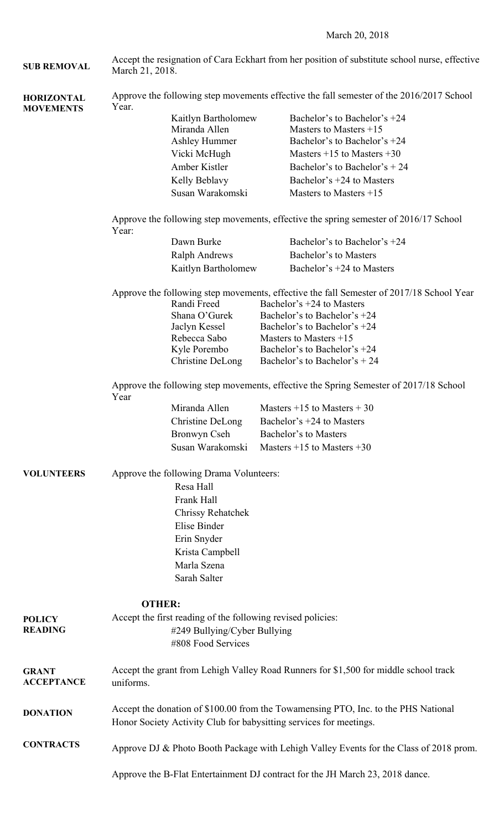March 20, 2018

| <b>SUB REMOVAL</b>                    | Accept the resignation of Cara Eckhart from her position of substitute school nurse, effective<br>March 21, 2018.                                        |                                                                                             |  |                                                            |  |  |
|---------------------------------------|----------------------------------------------------------------------------------------------------------------------------------------------------------|---------------------------------------------------------------------------------------------|--|------------------------------------------------------------|--|--|
| <b>HORIZONTAL</b><br><b>MOVEMENTS</b> | Approve the following step movements effective the fall semester of the 2016/2017 School<br>Year.                                                        |                                                                                             |  |                                                            |  |  |
|                                       | Kaitlyn Bartholomew                                                                                                                                      |                                                                                             |  | Bachelor's to Bachelor's +24                               |  |  |
|                                       |                                                                                                                                                          | Miranda Allen<br><b>Ashley Hummer</b><br>Vicki McHugh<br>Amber Kistler                      |  | Masters to Masters $+15$                                   |  |  |
|                                       |                                                                                                                                                          |                                                                                             |  | Bachelor's to Bachelor's +24                               |  |  |
|                                       |                                                                                                                                                          |                                                                                             |  | Masters $+15$ to Masters $+30$                             |  |  |
|                                       |                                                                                                                                                          |                                                                                             |  | Bachelor's to Bachelor's $+24$                             |  |  |
|                                       |                                                                                                                                                          | Kelly Beblavy                                                                               |  | Bachelor's +24 to Masters                                  |  |  |
|                                       |                                                                                                                                                          | Susan Warakomski                                                                            |  | Masters to Masters $+15$                                   |  |  |
|                                       | Approve the following step movements, effective the spring semester of 2016/17 School<br>Year:                                                           |                                                                                             |  |                                                            |  |  |
|                                       |                                                                                                                                                          | Dawn Burke                                                                                  |  | Bachelor's to Bachelor's +24                               |  |  |
|                                       |                                                                                                                                                          | <b>Ralph Andrews</b>                                                                        |  | Bachelor's to Masters                                      |  |  |
|                                       |                                                                                                                                                          | Kaitlyn Bartholomew                                                                         |  | Bachelor's +24 to Masters                                  |  |  |
|                                       | Approve the following step movements, effective the fall Semester of 2017/18 School Year                                                                 |                                                                                             |  |                                                            |  |  |
|                                       |                                                                                                                                                          | Randi Freed                                                                                 |  | Bachelor's $+24$ to Masters                                |  |  |
|                                       |                                                                                                                                                          | Shana O'Gurek                                                                               |  | Bachelor's to Bachelor's +24                               |  |  |
|                                       |                                                                                                                                                          | Jaclyn Kessel<br>Rebecca Sabo                                                               |  | Bachelor's to Bachelor's $+24$<br>Masters to Masters $+15$ |  |  |
|                                       |                                                                                                                                                          | Kyle Porembo                                                                                |  | Bachelor's to Bachelor's +24                               |  |  |
|                                       |                                                                                                                                                          | Christine DeLong                                                                            |  | Bachelor's to Bachelor's $+ 24$                            |  |  |
|                                       | Approve the following step movements, effective the Spring Semester of 2017/18 School<br>Year                                                            |                                                                                             |  |                                                            |  |  |
|                                       |                                                                                                                                                          | Miranda Allen                                                                               |  | Masters $+15$ to Masters $+30$                             |  |  |
|                                       |                                                                                                                                                          | Christine DeLong                                                                            |  | Bachelor's $+24$ to Masters                                |  |  |
|                                       |                                                                                                                                                          | Bronwyn Cseh                                                                                |  | Bachelor's to Masters                                      |  |  |
|                                       |                                                                                                                                                          | Susan Warakomski                                                                            |  | Masters $+15$ to Masters $+30$                             |  |  |
| <b>VOLUNTEERS</b>                     | Approve the following Drama Volunteers:                                                                                                                  |                                                                                             |  |                                                            |  |  |
|                                       | Resa Hall                                                                                                                                                |                                                                                             |  |                                                            |  |  |
|                                       |                                                                                                                                                          | Frank Hall                                                                                  |  |                                                            |  |  |
|                                       |                                                                                                                                                          | <b>Chrissy Rehatchek</b>                                                                    |  |                                                            |  |  |
|                                       |                                                                                                                                                          | Elise Binder                                                                                |  |                                                            |  |  |
|                                       |                                                                                                                                                          | Erin Snyder                                                                                 |  |                                                            |  |  |
|                                       |                                                                                                                                                          | Krista Campbell                                                                             |  |                                                            |  |  |
|                                       |                                                                                                                                                          | Marla Szena                                                                                 |  |                                                            |  |  |
|                                       |                                                                                                                                                          | Sarah Salter                                                                                |  |                                                            |  |  |
|                                       |                                                                                                                                                          |                                                                                             |  |                                                            |  |  |
|                                       | <b>OTHER:</b>                                                                                                                                            |                                                                                             |  |                                                            |  |  |
| <b>POLICY</b><br><b>READING</b>       |                                                                                                                                                          | Accept the first reading of the following revised policies:<br>#249 Bullying/Cyber Bullying |  |                                                            |  |  |
|                                       |                                                                                                                                                          | #808 Food Services                                                                          |  |                                                            |  |  |
|                                       |                                                                                                                                                          |                                                                                             |  |                                                            |  |  |
| <b>GRANT</b><br><b>ACCEPTANCE</b>     | Accept the grant from Lehigh Valley Road Runners for \$1,500 for middle school track<br>uniforms.                                                        |                                                                                             |  |                                                            |  |  |
| <b>DONATION</b>                       | Accept the donation of \$100.00 from the Towamensing PTO, Inc. to the PHS National<br>Honor Society Activity Club for babysitting services for meetings. |                                                                                             |  |                                                            |  |  |
| <b>CONTRACTS</b>                      | Approve DJ & Photo Booth Package with Lehigh Valley Events for the Class of 2018 prom.                                                                   |                                                                                             |  |                                                            |  |  |
|                                       | Approve the B-Flat Entertainment DJ contract for the JH March 23, 2018 dance.                                                                            |                                                                                             |  |                                                            |  |  |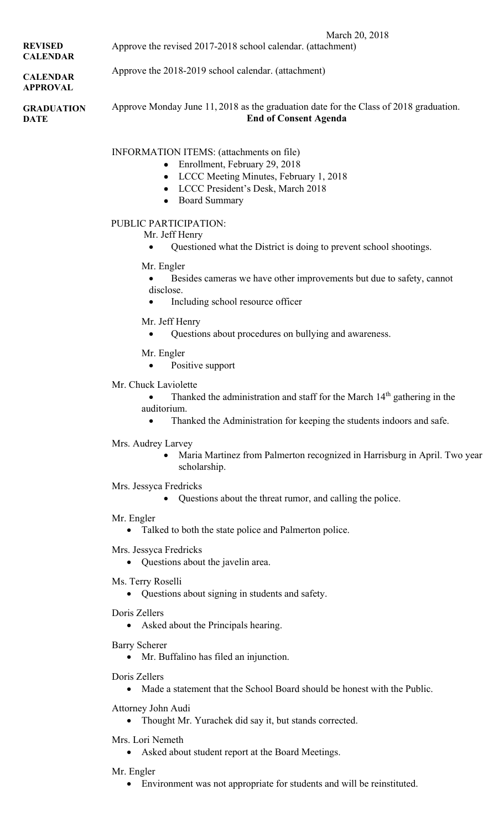| <b>REVISED</b><br><b>CALENDAR</b>  | March 20, 2018<br>Approve the revised 2017-2018 school calendar. (attachment)                                                                                                                             |  |  |  |  |
|------------------------------------|-----------------------------------------------------------------------------------------------------------------------------------------------------------------------------------------------------------|--|--|--|--|
| <b>CALENDAR</b><br><b>APPROVAL</b> | Approve the 2018-2019 school calendar. (attachment)                                                                                                                                                       |  |  |  |  |
| <b>GRADUATION</b><br><b>DATE</b>   | Approve Monday June 11, 2018 as the graduation date for the Class of 2018 graduation.<br><b>End of Consent Agenda</b>                                                                                     |  |  |  |  |
|                                    | INFORMATION ITEMS: (attachments on file)<br>Enrollment, February 29, 2018<br>٠<br>LCCC Meeting Minutes, February 1, 2018<br>٠<br>LCCC President's Desk, March 2018<br><b>Board Summary</b>                |  |  |  |  |
|                                    | PUBLIC PARTICIPATION:<br>Mr. Jeff Henry<br>Questioned what the District is doing to prevent school shootings.                                                                                             |  |  |  |  |
|                                    | Mr. Engler<br>Besides cameras we have other improvements but due to safety, cannot<br>disclose.<br>Including school resource officer                                                                      |  |  |  |  |
|                                    | Mr. Jeff Henry<br>Questions about procedures on bullying and awareness.<br>$\bullet$                                                                                                                      |  |  |  |  |
|                                    | Mr. Engler<br>Positive support                                                                                                                                                                            |  |  |  |  |
|                                    | Mr. Chuck Laviolette<br>Thanked the administration and staff for the March 14 <sup>th</sup> gathering in the<br>auditorium.<br>Thanked the Administration for keeping the students indoors and safe.<br>٠ |  |  |  |  |
|                                    | Mrs. Audrey Larvey<br>Maria Martinez from Palmerton recognized in Harrisburg in April. Two year<br>scholarship.                                                                                           |  |  |  |  |
|                                    | Mrs. Jessyca Fredricks<br>Questions about the threat rumor, and calling the police.                                                                                                                       |  |  |  |  |
|                                    | Mr. Engler<br>Talked to both the state police and Palmerton police.                                                                                                                                       |  |  |  |  |
|                                    | Mrs. Jessyca Fredricks<br>• Questions about the javelin area.                                                                                                                                             |  |  |  |  |
|                                    | Ms. Terry Roselli<br>• Questions about signing in students and safety.                                                                                                                                    |  |  |  |  |
|                                    | Doris Zellers<br>• Asked about the Principals hearing.                                                                                                                                                    |  |  |  |  |
|                                    | <b>Barry Scherer</b><br>Mr. Buffalino has filed an injunction.                                                                                                                                            |  |  |  |  |

Doris Zellers

Made a statement that the School Board should be honest with the Public.

Attorney John Audi

Thought Mr. Yurachek did say it, but stands corrected.

- Mrs. Lori Nemeth
	- Asked about student report at the Board Meetings.

Mr. Engler

Environment was not appropriate for students and will be reinstituted.